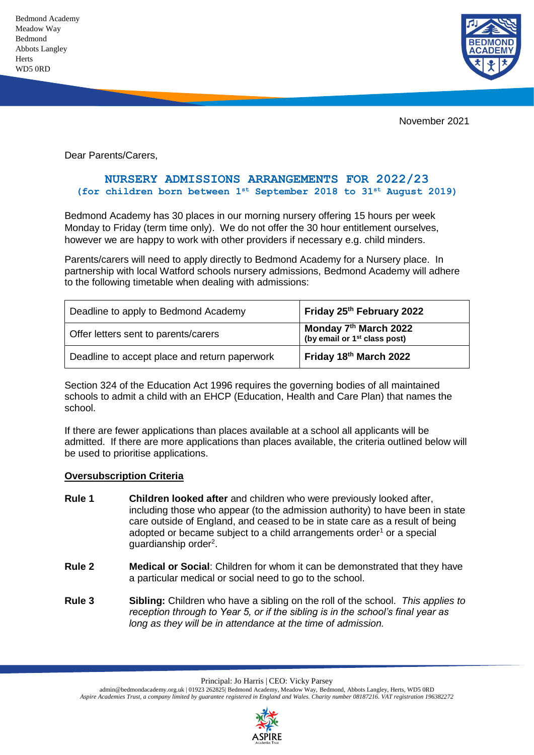Bedmond Academy Meadow Way Bedmond Abbots Langley **Herts** WD5 0RD



November 2021

Dear Parents/Carers,

## **NURSERY ADMISSIONS ARRANGEMENTS FOR 2022/23 (for children born between 1st September 2018 to 31st August 2019)**

Bedmond Academy has 30 places in our morning nursery offering 15 hours per week Monday to Friday (term time only). We do not offer the 30 hour entitlement ourselves, however we are happy to work with other providers if necessary e.g. child minders.

Parents/carers will need to apply directly to Bedmond Academy for a Nursery place. In partnership with local Watford schools nursery admissions, Bedmond Academy will adhere to the following timetable when dealing with admissions:

| Deadline to apply to Bedmond Academy          | Friday 25th February 2022                                                     |
|-----------------------------------------------|-------------------------------------------------------------------------------|
| Offer letters sent to parents/carers          | Monday 7 <sup>th</sup> March 2022<br>(by email or 1 <sup>st</sup> class post) |
| Deadline to accept place and return paperwork | Friday 18th March 2022                                                        |

Section 324 of the Education Act 1996 requires the governing bodies of all maintained schools to admit a child with an EHCP (Education, Health and Care Plan) that names the school.

If there are fewer applications than places available at a school all applicants will be admitted. If there are more applications than places available, the criteria outlined below will be used to prioritise applications.

#### **Oversubscription Criteria**

- **Rule 1 Children looked after** and children who were previously looked after, including those who appear (to the admission authority) to have been in state care outside of England, and ceased to be in state care as a result of being adopted or became subject to a child arrangements order<sup>1</sup> or a special guardianship order<sup>2</sup>.
- **Rule 2 Medical or Social**: Children for whom it can be demonstrated that they have a particular medical or social need to go to the school.
- **Rule 3 Sibling:** Children who have a sibling on the roll of the school. *This applies to reception through to Year 5, or if the sibling is in the school's final year as long as they will be in attendance at the time of admission.*

Principal: Jo Harris | CEO: Vicky Parsey

admin@bedmondacademy.org.uk | 01923 262825| Bedmond Academy, Meadow Way, Bedmond, Abbots Langley, Herts, WD5 0RD *Aspire Academies Trust, a company limited by guarantee registered in England and Wales. Charity number 08187216. VAT registration 196382272*

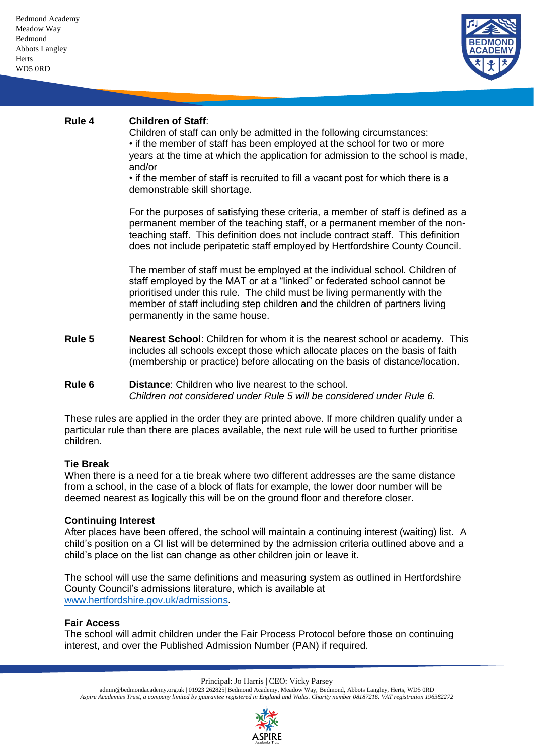

# **Rule 4 Children of Staff**:

Children of staff can only be admitted in the following circumstances: • if the member of staff has been employed at the school for two or more years at the time at which the application for admission to the school is made, and/or

• if the member of staff is recruited to fill a vacant post for which there is a demonstrable skill shortage.

For the purposes of satisfying these criteria, a member of staff is defined as a permanent member of the teaching staff, or a permanent member of the nonteaching staff. This definition does not include contract staff. This definition does not include peripatetic staff employed by Hertfordshire County Council.

The member of staff must be employed at the individual school. Children of staff employed by the MAT or at a "linked" or federated school cannot be prioritised under this rule. The child must be living permanently with the member of staff including step children and the children of partners living permanently in the same house.

**Rule 5 Nearest School**: Children for whom it is the nearest school or academy. This includes all schools except those which allocate places on the basis of faith (membership or practice) before allocating on the basis of distance/location.

## **Rule 6 Distance**: Children who live nearest to the school. *Children not considered under Rule 5 will be considered under Rule 6.*

These rules are applied in the order they are printed above. If more children qualify under a particular rule than there are places available, the next rule will be used to further prioritise children.

## **Tie Break**

When there is a need for a tie break where two different addresses are the same distance from a school, in the case of a block of flats for example, the lower door number will be deemed nearest as logically this will be on the ground floor and therefore closer.

## **Continuing Interest**

After places have been offered, the school will maintain a continuing interest (waiting) list. A child's position on a CI list will be determined by the admission criteria outlined above and a child's place on the list can change as other children join or leave it.

The school will use the same definitions and measuring system as outlined in Hertfordshire County Council's admissions literature, which is available at [www.hertfordshire.gov.uk/admissions.](http://www.hertfordshire.gov.uk/admissions)

## **Fair Access**

The school will admit children under the Fair Process Protocol before those on continuing interest, and over the Published Admission Number (PAN) if required.

Principal: Jo Harris | CEO: Vicky Parsey

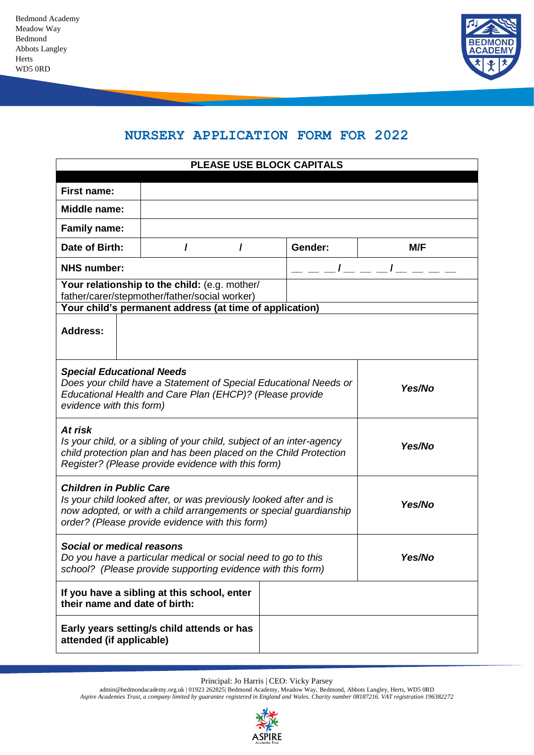

# **NURSERY APPLICATION FORM FOR 2022**

| PLEASE USE BLOCK CAPITALS                                                                                                                                                                                                             |                                                                                                                                                           |   |         |          |
|---------------------------------------------------------------------------------------------------------------------------------------------------------------------------------------------------------------------------------------|-----------------------------------------------------------------------------------------------------------------------------------------------------------|---|---------|----------|
| <b>First name:</b>                                                                                                                                                                                                                    |                                                                                                                                                           |   |         |          |
| Middle name:                                                                                                                                                                                                                          |                                                                                                                                                           |   |         |          |
| <b>Family name:</b>                                                                                                                                                                                                                   |                                                                                                                                                           |   |         |          |
| Date of Birth:                                                                                                                                                                                                                        | I                                                                                                                                                         | I | Gender: | M/F      |
| <b>NHS number:</b>                                                                                                                                                                                                                    |                                                                                                                                                           |   |         | $l = -l$ |
|                                                                                                                                                                                                                                       | Your relationship to the child: (e.g. mother/<br>father/carer/stepmother/father/social worker)<br>Your child's permanent address (at time of application) |   |         |          |
| <b>Address:</b>                                                                                                                                                                                                                       |                                                                                                                                                           |   |         |          |
| <b>Special Educational Needs</b><br>Does your child have a Statement of Special Educational Needs or<br>Yes/No<br>Educational Health and Care Plan (EHCP)? (Please provide<br>evidence with this form)                                |                                                                                                                                                           |   |         |          |
| At risk<br>Is your child, or a sibling of your child, subject of an inter-agency<br>child protection plan and has been placed on the Child Protection<br>Register? (Please provide evidence with this form)                           |                                                                                                                                                           |   | Yes/No  |          |
| <b>Children in Public Care</b><br>Is your child looked after, or was previously looked after and is<br>Yes/No<br>now adopted, or with a child arrangements or special guardianship<br>order? (Please provide evidence with this form) |                                                                                                                                                           |   |         |          |
| <b>Social or medical reasons</b><br>Do you have a particular medical or social need to go to this<br>Yes/No<br>school? (Please provide supporting evidence with this form)                                                            |                                                                                                                                                           |   |         |          |
| their name and date of birth:                                                                                                                                                                                                         | If you have a sibling at this school, enter                                                                                                               |   |         |          |
| attended (if applicable)                                                                                                                                                                                                              | Early years setting/s child attends or has                                                                                                                |   |         |          |

Principal: Jo Harris | CEO: Vicky Parsey

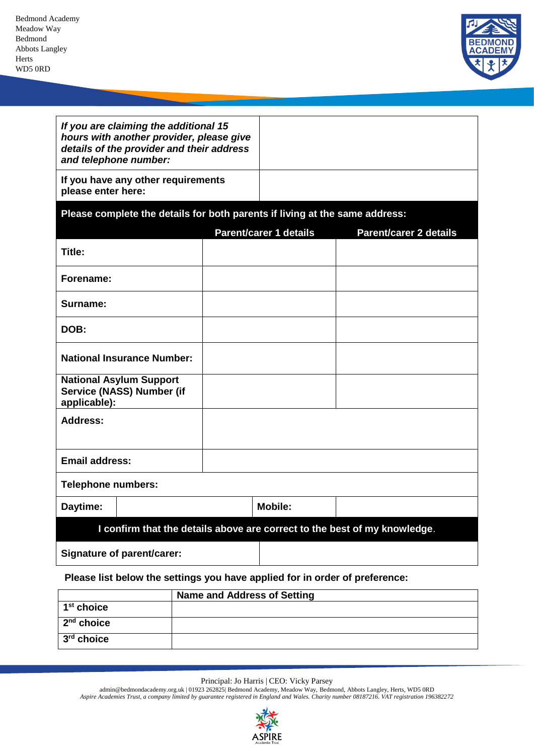**2 nd choice 3 rd choice**



|                                                                             | If you are claiming the additional 15<br>hours with another provider, please give<br>details of the provider and their address |  |  |                               |                               |  |
|-----------------------------------------------------------------------------|--------------------------------------------------------------------------------------------------------------------------------|--|--|-------------------------------|-------------------------------|--|
|                                                                             | and telephone number:                                                                                                          |  |  |                               |                               |  |
| please enter here:                                                          | If you have any other requirements                                                                                             |  |  |                               |                               |  |
| Please complete the details for both parents if living at the same address: |                                                                                                                                |  |  |                               |                               |  |
|                                                                             |                                                                                                                                |  |  | <b>Parent/carer 1 details</b> | <b>Parent/carer 2 details</b> |  |
| Title:                                                                      |                                                                                                                                |  |  |                               |                               |  |
| Forename:                                                                   |                                                                                                                                |  |  |                               |                               |  |
| Surname:                                                                    |                                                                                                                                |  |  |                               |                               |  |
| DOB:                                                                        |                                                                                                                                |  |  |                               |                               |  |
|                                                                             | <b>National Insurance Number:</b>                                                                                              |  |  |                               |                               |  |
| applicable):                                                                | <b>National Asylum Support</b><br>Service (NASS) Number (if                                                                    |  |  |                               |                               |  |
| <b>Address:</b>                                                             |                                                                                                                                |  |  |                               |                               |  |
|                                                                             |                                                                                                                                |  |  |                               |                               |  |
| <b>Email address:</b>                                                       |                                                                                                                                |  |  |                               |                               |  |
| <b>Telephone numbers:</b>                                                   |                                                                                                                                |  |  |                               |                               |  |
| Daytime:                                                                    |                                                                                                                                |  |  | <b>Mobile:</b>                |                               |  |
| I confirm that the details above are correct to the best of my knowledge.   |                                                                                                                                |  |  |                               |                               |  |
| Signature of parent/carer:                                                  |                                                                                                                                |  |  |                               |                               |  |
| Please list below the settings you have applied for in order of preference: |                                                                                                                                |  |  |                               |                               |  |
| <b>Name and Address of Setting</b>                                          |                                                                                                                                |  |  |                               |                               |  |
| 1 <sup>st</sup> choice                                                      |                                                                                                                                |  |  |                               |                               |  |

Principal: Jo Harris | CEO: Vicky Parsey

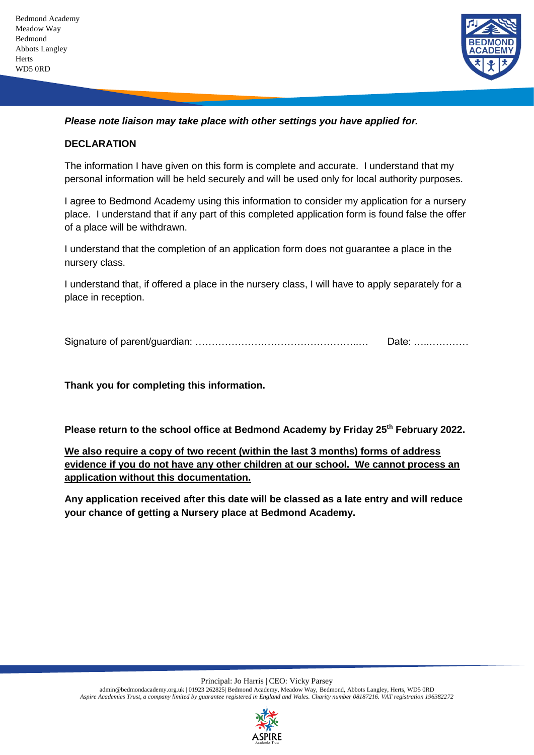

*Please note liaison may take place with other settings you have applied for.*

## **DECLARATION**

The information I have given on this form is complete and accurate. I understand that my personal information will be held securely and will be used only for local authority purposes.

I agree to Bedmond Academy using this information to consider my application for a nursery place. I understand that if any part of this completed application form is found false the offer of a place will be withdrawn.

I understand that the completion of an application form does not guarantee a place in the nursery class.

I understand that, if offered a place in the nursery class, I will have to apply separately for a place in reception.

Signature of parent/guardian: …………………………………………..… Date: …..…………

**Thank you for completing this information.** 

**Please return to the school office at Bedmond Academy by Friday 25th February 2022.** 

**We also require a copy of two recent (within the last 3 months) forms of address evidence if you do not have any other children at our school. We cannot process an application without this documentation.**

**Any application received after this date will be classed as a late entry and will reduce your chance of getting a Nursery place at Bedmond Academy.** 

Principal: Jo Harris | CEO: Vicky Parsey

admin@bedmondacademy.org.uk | 01923 262825| Bedmond Academy, Meadow Way, Bedmond, Abbots Langley, Herts, WD5 0RD *Aspire Academies Trust, a company limited by guarantee registered in England and Wales. Charity number 08187216. VAT registration 196382272*